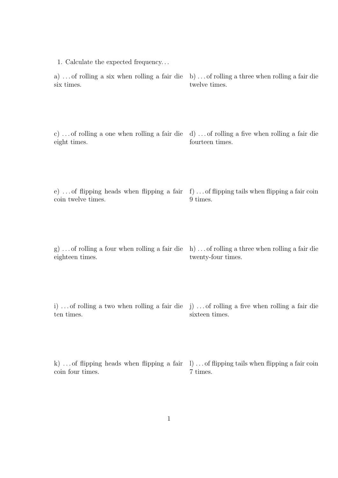| 1. Calculate the expected frequency                                                                             |                                                                                                  |
|-----------------------------------------------------------------------------------------------------------------|--------------------------------------------------------------------------------------------------|
| a) of rolling a six when rolling a fair die b) of rolling a three when rolling a fair die<br>six times.         | twelve times.                                                                                    |
| c) of rolling a one when rolling a fair die d) of rolling a five when rolling a fair die<br>eight times.        | fourteen times.                                                                                  |
| e)  of flipping heads when flipping a fair f) of flipping tails when flipping a fair coin<br>coin twelve times. | 9 times.                                                                                         |
| g)  of rolling a four when rolling a fair die $h$ of rolling a three when rolling a fair die<br>eighteen times. | twenty-four times.                                                                               |
| i) of rolling a two when rolling a fair die j) of rolling a five when rolling a fair die<br>ten times.          | sixteen times.                                                                                   |
|                                                                                                                 | k)  of flipping heads when flipping a fair $\Box$ )  of flipping tails when flipping a fair coin |

1

7 times.

coin four times.